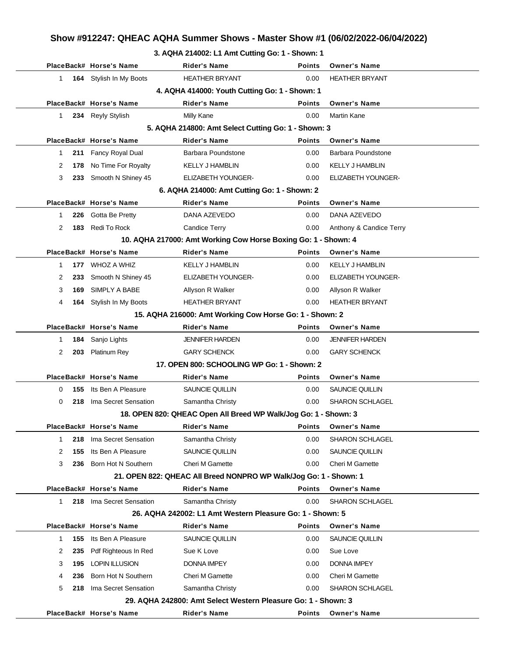## **Show #912247: QHEAC AQHA Summer Shows - Master Show #1 (06/02/2022-06/04/2022)**

#### **3. AQHA 214002: L1 Amt Cutting Go: 1 - Shown: 1**

|              |     | PlaceBack# Horse's Name | <b>Rider's Name</b>                                               | <b>Points</b> | <b>Owner's Name</b>       |  |  |
|--------------|-----|-------------------------|-------------------------------------------------------------------|---------------|---------------------------|--|--|
| 1            |     | 164 Stylish In My Boots | <b>HEATHER BRYANT</b>                                             | 0.00          | <b>HEATHER BRYANT</b>     |  |  |
|              |     |                         | 4. AQHA 414000: Youth Cutting Go: 1 - Shown: 1                    |               |                           |  |  |
|              |     | PlaceBack# Horse's Name | <b>Rider's Name</b>                                               | <b>Points</b> | <b>Owner's Name</b>       |  |  |
| 1.           |     | 234 Reyly Stylish       | Milly Kane                                                        | 0.00          | <b>Martin Kane</b>        |  |  |
|              |     |                         | 5. AQHA 214800: Amt Select Cutting Go: 1 - Shown: 3               |               |                           |  |  |
|              |     | PlaceBack# Horse's Name | <b>Rider's Name</b>                                               | <b>Points</b> | <b>Owner's Name</b>       |  |  |
| 1            | 211 | Fancy Royal Dual        | Barbara Poundstone                                                | 0.00          | Barbara Poundstone        |  |  |
| 2            | 178 | No Time For Royalty     | <b>KELLY J HAMBLIN</b>                                            | 0.00          | <b>KELLY J HAMBLIN</b>    |  |  |
| 3            | 233 | Smooth N Shiney 45      | ELIZABETH YOUNGER-                                                | 0.00          | <b>ELIZABETH YOUNGER-</b> |  |  |
|              |     |                         | 6. AQHA 214000: Amt Cutting Go: 1 - Shown: 2                      |               |                           |  |  |
|              |     | PlaceBack# Horse's Name | <b>Rider's Name</b>                                               | <b>Points</b> | <b>Owner's Name</b>       |  |  |
| $\mathbf{1}$ |     | 226 Gotta Be Pretty     | DANA AZEVEDO                                                      | 0.00          | DANA AZEVEDO              |  |  |
| 2            | 183 | Redi To Rock            | <b>Candice Terry</b>                                              | 0.00          | Anthony & Candice Terry   |  |  |
|              |     |                         | 10. AQHA 217000: Amt Working Cow Horse Boxing Go: 1 - Shown: 4    |               |                           |  |  |
|              |     | PlaceBack# Horse's Name | <b>Rider's Name</b>                                               | <b>Points</b> | <b>Owner's Name</b>       |  |  |
| $\mathbf 1$  |     | 177 WHOZ A WHIZ         | <b>KELLY J HAMBLIN</b>                                            | 0.00          | <b>KELLY J HAMBLIN</b>    |  |  |
| 2            | 233 | Smooth N Shiney 45      | <b>ELIZABETH YOUNGER-</b>                                         | 0.00          | <b>ELIZABETH YOUNGER-</b> |  |  |
| 3            | 169 | SIMPLY A BABE           | Allyson R Walker                                                  | 0.00          | Allyson R Walker          |  |  |
| 4            | 164 | Stylish In My Boots     | <b>HEATHER BRYANT</b>                                             | 0.00          | <b>HEATHER BRYANT</b>     |  |  |
|              |     |                         | 15. AQHA 216000: Amt Working Cow Horse Go: 1 - Shown: 2           |               |                           |  |  |
|              |     | PlaceBack# Horse's Name | <b>Rider's Name</b>                                               | <b>Points</b> | <b>Owner's Name</b>       |  |  |
| 1            | 184 | Sanjo Lights            | <b>JENNIFER HARDEN</b>                                            | 0.00          | <b>JENNIFER HARDEN</b>    |  |  |
| 2            | 203 | Platinum Rey            | <b>GARY SCHENCK</b>                                               | 0.00          | <b>GARY SCHENCK</b>       |  |  |
|              |     |                         | 17. OPEN 800: SCHOOLING WP Go: 1 - Shown: 2                       |               |                           |  |  |
|              |     | PlaceBack# Horse's Name | <b>Rider's Name</b>                                               | <b>Points</b> | <b>Owner's Name</b>       |  |  |
| 0            | 155 | Its Ben A Pleasure      | <b>SAUNCIE QUILLIN</b>                                            | 0.00          | SAUNCIE QUILLIN           |  |  |
| 0            | 218 | Ima Secret Sensation    | Samantha Christy                                                  | 0.00          | <b>SHARON SCHLAGEL</b>    |  |  |
|              |     |                         | 18. OPEN 820: QHEAC Open All Breed WP Walk/Jog Go: 1 - Shown: 3   |               |                           |  |  |
|              |     | PlaceBack# Horse's Name | <b>Rider's Name</b>                                               | Points        | <b>Owner's Name</b>       |  |  |
| 1            | 218 | Ima Secret Sensation    | Samantha Christy                                                  | 0.00          | SHARON SCHLAGEL           |  |  |
| 2            | 155 | Its Ben A Pleasure      | SAUNCIE QUILLIN                                                   | 0.00          | SAUNCIE QUILLIN           |  |  |
| 3            | 236 | Born Hot N Southern     | <b>Cheri M Gamette</b>                                            | 0.00          | Cheri M Gamette           |  |  |
|              |     |                         | 21. OPEN 822: QHEAC All Breed NONPRO WP Walk/Jog Go: 1 - Shown: 1 |               |                           |  |  |
|              |     | PlaceBack# Horse's Name | <b>Rider's Name</b>                                               | <b>Points</b> | <b>Owner's Name</b>       |  |  |
| 1.           | 218 | Ima Secret Sensation    | Samantha Christy                                                  | 0.00          | <b>SHARON SCHLAGEL</b>    |  |  |
|              |     |                         | 26. AQHA 242002: L1 Amt Western Pleasure Go: 1 - Shown: 5         |               |                           |  |  |
|              |     | PlaceBack# Horse's Name | Rider's Name                                                      | <b>Points</b> | <b>Owner's Name</b>       |  |  |
| $\mathbf 1$  | 155 | Its Ben A Pleasure      | SAUNCIE QUILLIN                                                   | 0.00          | SAUNCIE QUILLIN           |  |  |
| 2            | 235 | Pdf Righteous In Red    | Sue K Love                                                        | 0.00          | Sue Love                  |  |  |
| 3            | 195 | <b>LOPIN ILLUSION</b>   | <b>DONNA IMPEY</b>                                                | 0.00          | <b>DONNA IMPEY</b>        |  |  |
| 4            | 236 | Born Hot N Southern     | Cheri M Gamette                                                   | 0.00          | Cheri M Gamette           |  |  |
| 5            | 218 | Ima Secret Sensation    | Samantha Christy                                                  | 0.00          | <b>SHARON SCHLAGEL</b>    |  |  |
|              |     |                         | 29. AQHA 242800: Amt Select Western Pleasure Go: 1 - Shown: 3     |               |                           |  |  |
|              |     | PlaceBack# Horse's Name | <b>Rider's Name</b>                                               | Points        | <b>Owner's Name</b>       |  |  |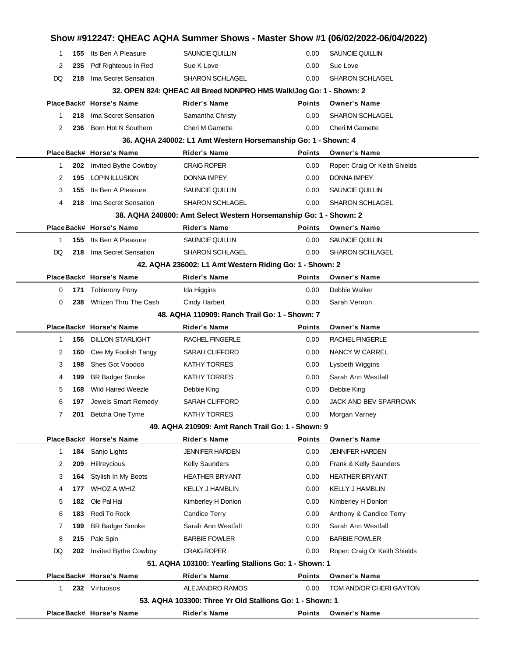|              |     |                           |                                                                    |               | Show #912247: QHEAC AQHA Summer Shows - Master Show #1 (06/02/2022-06/04/2022) |
|--------------|-----|---------------------------|--------------------------------------------------------------------|---------------|--------------------------------------------------------------------------------|
| 1            | 155 | Its Ben A Pleasure        | SAUNCIE QUILLIN                                                    | 0.00          | SAUNCIE QUILLIN                                                                |
| 2            | 235 | Pdf Righteous In Red      | Sue K Love                                                         | 0.00          | Sue Love                                                                       |
| DQ           | 218 | Ima Secret Sensation      | <b>SHARON SCHLAGEL</b>                                             | 0.00          | <b>SHARON SCHLAGEL</b>                                                         |
|              |     |                           | 32. OPEN 824: QHEAC All Breed NONPRO HMS Walk/Jog Go: 1 - Shown: 2 |               |                                                                                |
|              |     | PlaceBack# Horse's Name   | <b>Rider's Name</b>                                                | <b>Points</b> | <b>Owner's Name</b>                                                            |
| 1            | 218 | Ima Secret Sensation      | Samantha Christy                                                   | 0.00          | <b>SHARON SCHLAGEL</b>                                                         |
| 2            | 236 | Born Hot N Southern       | <b>Cheri M Gamette</b>                                             | 0.00          | <b>Cheri M Gamette</b>                                                         |
|              |     |                           | 36. AQHA 240002: L1 Amt Western Horsemanship Go: 1 - Shown: 4      |               |                                                                                |
|              |     | PlaceBack# Horse's Name   | <b>Rider's Name</b>                                                | <b>Points</b> | <b>Owner's Name</b>                                                            |
| 1            | 202 | Invited Bythe Cowboy      | <b>CRAIG ROPER</b>                                                 | 0.00          | Roper: Craig Or Keith Shields                                                  |
| 2            | 195 | <b>LOPIN ILLUSION</b>     | DONNA IMPEY                                                        | 0.00          | <b>DONNA IMPEY</b>                                                             |
| 3            | 155 | Its Ben A Pleasure        | SAUNCIE QUILLIN                                                    | 0.00          | SAUNCIE QUILLIN                                                                |
| 4            | 218 | Ima Secret Sensation      | <b>SHARON SCHLAGEL</b>                                             | 0.00          | <b>SHARON SCHLAGEL</b>                                                         |
|              |     |                           | 38. AQHA 240800: Amt Select Western Horsemanship Go: 1 - Shown: 2  |               |                                                                                |
|              |     | PlaceBack# Horse's Name   | <b>Rider's Name</b>                                                | <b>Points</b> | <b>Owner's Name</b>                                                            |
| $\mathbf 1$  | 155 | Its Ben A Pleasure        | SAUNCIE QUILLIN                                                    | 0.00          | SAUNCIE QUILLIN                                                                |
| DQ           | 218 | Ima Secret Sensation      | <b>SHARON SCHLAGEL</b>                                             | 0.00          | <b>SHARON SCHLAGEL</b>                                                         |
|              |     |                           | 42. AQHA 236002: L1 Amt Western Riding Go: 1 - Shown: 2            |               |                                                                                |
|              |     | PlaceBack# Horse's Name   | <b>Rider's Name</b>                                                | <b>Points</b> | <b>Owner's Name</b>                                                            |
| 0            | 171 | <b>Toblerony Pony</b>     | Ida Higgins                                                        | 0.00          | Debbie Walker                                                                  |
| 0            | 238 | Whizen Thru The Cash      | Cindy Harbert                                                      | 0.00          | Sarah Vernon                                                                   |
|              |     |                           | 48. AQHA 110909: Ranch Trail Go: 1 - Shown: 7                      |               |                                                                                |
|              |     | PlaceBack# Horse's Name   | Rider's Name                                                       | <b>Points</b> | <b>Owner's Name</b>                                                            |
| $\mathbf{1}$ | 156 | <b>DILLON STARLIGHT</b>   | <b>RACHEL FINGERLE</b>                                             | 0.00          | <b>RACHEL FINGERLE</b>                                                         |
| 2            | 160 | Cee My Foolish Tangy      | <b>SARAH CLIFFORD</b>                                              | 0.00          | NANCY W CARREL                                                                 |
| 3            | 198 | Shes Got Voodoo           | <b>KATHY TORRES</b>                                                | 0.00          | Lysbeth Wiggins                                                                |
| 4            | 199 | <b>BR Badger Smoke</b>    | <b>KATHY TORRES</b>                                                | 0.00          | Sarah Ann Westfall                                                             |
| 5            | 168 | <b>Wild Haired Weezle</b> | Debbie King                                                        | 0.00          | Debbie King                                                                    |
| 6            | 197 | Jewels Smart Remedy       | SARAH CLIFFORD                                                     | 0.00          | JACK AND BEV SPARROWK                                                          |
| 7            | 201 | Betcha One Tyme           | <b>KATHY TORRES</b>                                                | 0.00          | Morgan Varney                                                                  |
|              |     |                           | 49. AQHA 210909: Amt Ranch Trail Go: 1 - Shown: 9                  |               |                                                                                |
|              |     | PlaceBack# Horse's Name   | <b>Rider's Name</b>                                                | <b>Points</b> | <b>Owner's Name</b>                                                            |
| 1.           | 184 | Sanjo Lights              | <b>JENNIFER HARDEN</b>                                             | 0.00          | <b>JENNIFER HARDEN</b>                                                         |
| 2            | 209 | Hillreycious              | <b>Kelly Saunders</b>                                              | 0.00          | Frank & Kelly Saunders                                                         |
| 3            | 164 | Stylish In My Boots       | <b>HEATHER BRYANT</b>                                              | 0.00          | <b>HEATHER BRYANT</b>                                                          |
| 4            | 177 | WHOZ A WHIZ               | <b>KELLY J HAMBLIN</b>                                             | 0.00          | <b>KELLY J HAMBLIN</b>                                                         |
| 5            | 182 | Ole Pal Hal               | Kimberley H Donlon                                                 | 0.00          | Kimberley H Donlon                                                             |
| 6            | 183 | Redi To Rock              | <b>Candice Terry</b>                                               | 0.00          | Anthony & Candice Terry                                                        |
| 7            | 199 | <b>BR Badger Smoke</b>    | Sarah Ann Westfall                                                 | 0.00          | Sarah Ann Westfall                                                             |
| 8            | 215 | Pale Spin                 | <b>BARBIE FOWLER</b>                                               | 0.00          | <b>BARBIE FOWLER</b>                                                           |
| DQ           | 202 | Invited Bythe Cowboy      | CRAIG ROPER                                                        | 0.00          | Roper: Craig Or Keith Shields                                                  |
|              |     |                           | 51. AQHA 103100: Yearling Stallions Go: 1 - Shown: 1               |               |                                                                                |
|              |     | PlaceBack# Horse's Name   | <b>Rider's Name</b>                                                | <b>Points</b> | <b>Owner's Name</b>                                                            |
| 1            |     | 232 Virtuosos             | ALEJANDRO RAMOS                                                    | 0.00          | TOM AND/OR CHERI GAYTON                                                        |
|              |     |                           | 53. AQHA 103300: Three Yr Old Stallions Go: 1 - Shown: 1           |               |                                                                                |
|              |     | PlaceBack# Horse's Name   | <b>Rider's Name</b>                                                | <b>Points</b> | <b>Owner's Name</b>                                                            |
|              |     |                           |                                                                    |               |                                                                                |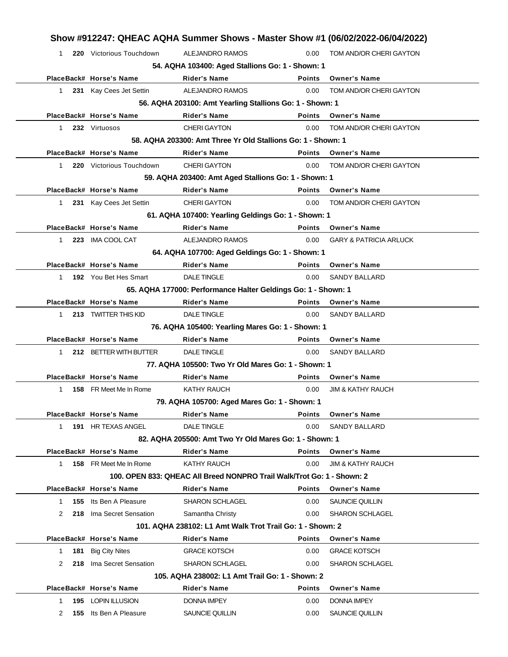|                     | Show #912247: QHEAC AQHA Summer Shows - Master Show #1 (06/02/2022-06/04/2022) |                                                                        |                   |                                       |
|---------------------|--------------------------------------------------------------------------------|------------------------------------------------------------------------|-------------------|---------------------------------------|
| 1                   | 220 Victorious Touchdown                                                       | ALEJANDRO RAMOS                                                        | 0.00              | TOM AND/OR CHERI GAYTON               |
|                     |                                                                                | 54. AQHA 103400: Aged Stallions Go: 1 - Shown: 1                       |                   |                                       |
|                     | PlaceBack# Horse's Name                                                        | <b>Rider's Name</b>                                                    | <b>Points</b>     | <b>Owner's Name</b>                   |
| $\mathbf 1$         | 231 Kay Cees Jet Settin                                                        | <b>ALEJANDRO RAMOS</b>                                                 | 0.00              | TOM AND/OR CHERI GAYTON               |
|                     |                                                                                | 56. AQHA 203100: Amt Yearling Stallions Go: 1 - Shown: 1               |                   |                                       |
|                     | PlaceBack# Horse's Name                                                        | <b>Rider's Name</b>                                                    | <b>Points</b>     | <b>Owner's Name</b>                   |
| $\mathbf{1}$        | 232 Virtuosos                                                                  | <b>CHERI GAYTON</b>                                                    | 0.00              | TOM AND/OR CHERI GAYTON               |
|                     |                                                                                | 58. AQHA 203300: Amt Three Yr Old Stallions Go: 1 - Shown: 1           |                   |                                       |
|                     | PlaceBack# Horse's Name                                                        | <b>Rider's Name</b>                                                    | <b>Points</b>     | <b>Owner's Name</b>                   |
| 1                   | 220 Victorious Touchdown                                                       | <b>CHERI GAYTON</b>                                                    | 0.00              | TOM AND/OR CHERI GAYTON               |
|                     |                                                                                | 59. AQHA 203400: Amt Aged Stallions Go: 1 - Shown: 1                   |                   |                                       |
|                     | PlaceBack# Horse's Name                                                        | <b>Rider's Name</b>                                                    | <b>Points</b>     | <b>Owner's Name</b>                   |
| $\mathbf{1}$        | 231 Kay Cees Jet Settin                                                        | <b>CHERI GAYTON</b>                                                    | 0.00              | TOM AND/OR CHERI GAYTON               |
|                     |                                                                                | 61. AQHA 107400: Yearling Geldings Go: 1 - Shown: 1                    |                   |                                       |
|                     | PlaceBack# Horse's Name                                                        | <b>Rider's Name</b>                                                    | <b>Points</b>     | <b>Owner's Name</b>                   |
| $\mathbf 1$         | 223 IMA COOL CAT                                                               | ALEJANDRO RAMOS                                                        | 0.00              | <b>GARY &amp; PATRICIA ARLUCK</b>     |
|                     |                                                                                | 64. AQHA 107700: Aged Geldings Go: 1 - Shown: 1                        |                   |                                       |
|                     | PlaceBack# Horse's Name                                                        | <b>Rider's Name</b>                                                    | <b>Points</b>     | <b>Owner's Name</b>                   |
| $\mathbf{1}$        | 192 You Bet Hes Smart                                                          | <b>DALE TINGLE</b>                                                     | 0.00              | <b>SANDY BALLARD</b>                  |
|                     |                                                                                | 65. AQHA 177000: Performance Halter Geldings Go: 1 - Shown: 1          |                   |                                       |
|                     | PlaceBack# Horse's Name                                                        | <b>Rider's Name</b>                                                    | <b>Points</b>     | <b>Owner's Name</b>                   |
| 1                   | 213 TWITTER THIS KID                                                           | <b>DALE TINGLE</b>                                                     | 0.00              | <b>SANDY BALLARD</b>                  |
|                     |                                                                                | 76. AQHA 105400: Yearling Mares Go: 1 - Shown: 1                       |                   |                                       |
|                     | PlaceBack# Horse's Name                                                        | <b>Rider's Name</b>                                                    | <b>Points</b>     | <b>Owner's Name</b>                   |
| $\mathbf 1$         | 212 BETTER WITH BUTTER                                                         | <b>DALE TINGLE</b>                                                     | 0.00              | <b>SANDY BALLARD</b>                  |
|                     |                                                                                | 77. AQHA 105500: Two Yr Old Mares Go: 1 - Shown: 1                     |                   |                                       |
|                     | PlaceBack# Horse's Name                                                        | Rider's Name                                                           | <b>Points</b>     | <b>Owner's Name</b>                   |
| 1                   | 158 FR Meet Me In Rome                                                         | <b>KATHY RAUCH</b>                                                     | 0.00              | <b>JIM &amp; KATHY RAUCH</b>          |
|                     |                                                                                | 79. AQHA 105700: Aged Mares Go: 1 - Shown: 1                           |                   |                                       |
|                     | PlaceBack# Horse's Name                                                        | <b>Rider's Name</b>                                                    | Points            | <b>Owner's Name</b>                   |
| $\mathbf 1$         | 191 HR TEXAS ANGEL                                                             |                                                                        |                   |                                       |
|                     |                                                                                | <b>DALE TINGLE</b>                                                     | 0.00              | <b>SANDY BALLARD</b>                  |
|                     |                                                                                | 82. AQHA 205500: Amt Two Yr Old Mares Go: 1 - Shown: 1                 |                   |                                       |
|                     | PlaceBack# Horse's Name                                                        | <b>Rider's Name</b>                                                    | Points            | <b>Owner's Name</b>                   |
| $\mathbf 1$         | 158 FR Meet Me In Rome                                                         | <b>KATHY RAUCH</b>                                                     | 0.00              | <b>JIM &amp; KATHY RAUCH</b>          |
|                     |                                                                                | 100. OPEN 833: QHEAC All Breed NONPRO Trail Walk/Trot Go: 1 - Shown: 2 |                   |                                       |
|                     | PlaceBack# Horse's Name                                                        | Rider's Name                                                           | Points            | <b>Owner's Name</b>                   |
| 155<br>1            | Its Ben A Pleasure                                                             | <b>SHARON SCHLAGEL</b>                                                 | 0.00              | SAUNCIE QUILLIN                       |
| 2                   | 218 Ima Secret Sensation                                                       | Samantha Christy                                                       | 0.00 <sub>1</sub> | <b>SHARON SCHLAGEL</b>                |
|                     |                                                                                | 101. AQHA 238102: L1 Amt Walk Trot Trail Go: 1 - Shown: 2              |                   |                                       |
|                     | PlaceBack# Horse's Name                                                        | Rider's Name                                                           | Points            | <b>Owner's Name</b>                   |
| 181<br>$\mathbf{1}$ | <b>Big City Nites</b>                                                          | <b>GRACE KOTSCH</b>                                                    | 0.00              | <b>GRACE KOTSCH</b>                   |
| 218<br>2            | Ima Secret Sensation                                                           | <b>SHARON SCHLAGEL</b>                                                 | 0.00              | <b>SHARON SCHLAGEL</b>                |
|                     |                                                                                | 105. AQHA 238002: L1 Amt Trail Go: 1 - Shown: 2                        |                   |                                       |
|                     | PlaceBack# Horse's Name                                                        | Rider's Name                                                           | <b>Points</b>     | <b>Owner's Name</b>                   |
| 1<br>2              | 195 LOPIN ILLUSION<br><b>155</b> Its Ben A Pleasure                            | <b>DONNA IMPEY</b><br>SAUNCIE QUILLIN                                  | 0.00<br>0.00      | <b>DONNA IMPEY</b><br>SAUNCIE QUILLIN |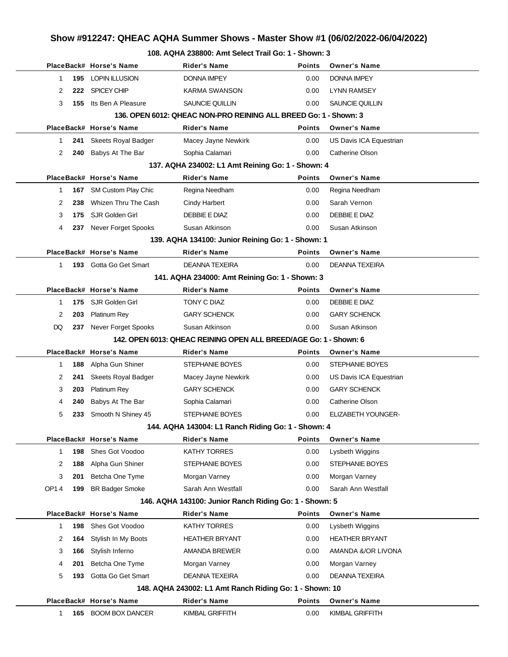### **Show #912247: QHEAC AQHA Summer Shows - Master Show #1 (06/02/2022-06/04/2022)**

#### **108. AQHA 238800: Amt Select Trail Go: 1 - Shown: 3**

|              |     |                            | 0. AQITA 200000. ANII OCICCI HAII OO. T                           |               |                           |
|--------------|-----|----------------------------|-------------------------------------------------------------------|---------------|---------------------------|
|              |     | PlaceBack# Horse's Name    | Rider's Name                                                      | <b>Points</b> | <b>Owner's Name</b>       |
| $\mathbf 1$  | 195 | <b>LOPIN ILLUSION</b>      | <b>DONNA IMPEY</b>                                                | 0.00          | <b>DONNA IMPEY</b>        |
| 2            | 222 | SPICEY CHIP                | <b>KARMA SWANSON</b>                                              | 0.00          | <b>LYNN RAMSEY</b>        |
| 3            | 155 | Its Ben A Pleasure         | SAUNCIE QUILLIN                                                   | 0.00          | SAUNCIE QUILLIN           |
|              |     |                            | 136. OPEN 6012: QHEAC NON-PRO REINING ALL BREED Go: 1 - Shown: 3  |               |                           |
|              |     | PlaceBack# Horse's Name    | <b>Rider's Name</b>                                               | <b>Points</b> | <b>Owner's Name</b>       |
| 1            | 241 | <b>Skeets Royal Badger</b> | Macey Jayne Newkirk                                               | 0.00          | US Davis ICA Equestrian   |
| 2            | 240 | Babys At The Bar           | Sophia Calamari                                                   | 0.00          | Catherine Olson           |
|              |     |                            | 137. AQHA 234002: L1 Amt Reining Go: 1 - Shown: 4                 |               |                           |
|              |     | PlaceBack# Horse's Name    | <b>Rider's Name</b>                                               | <b>Points</b> | <b>Owner's Name</b>       |
| 1            |     | 167 SM Custom Play Chic    | Regina Needham                                                    | 0.00          | Regina Needham            |
| 2            | 238 | Whizen Thru The Cash       | Cindy Harbert                                                     | 0.00          | Sarah Vernon              |
| 3            | 175 | SJR Golden Girl            | DEBBIE E DIAZ                                                     | 0.00          | DEBBIE E DIAZ             |
| 4            | 237 | Never Forget Spooks        | Susan Atkinson                                                    | 0.00          | Susan Atkinson            |
|              |     |                            | 139. AQHA 134100: Junior Reining Go: 1 - Shown: 1                 |               |                           |
|              |     | PlaceBack# Horse's Name    | <b>Rider's Name</b>                                               | <b>Points</b> | <b>Owner's Name</b>       |
| $\mathbf{1}$ |     | 193 Gotta Go Get Smart     | DEANNA TEXEIRA                                                    | 0.00          | DEANNA TEXEIRA            |
|              |     |                            | 141. AQHA 234000: Amt Reining Go: 1 - Shown: 3                    |               |                           |
|              |     | PlaceBack# Horse's Name    | <b>Rider's Name</b>                                               | <b>Points</b> | <b>Owner's Name</b>       |
| $\mathbf 1$  | 175 | SJR Golden Girl            | TONY C DIAZ                                                       | 0.00          | DEBBIE E DIAZ             |
| 2            | 203 | Platinum Rey               | <b>GARY SCHENCK</b>                                               | 0.00          | <b>GARY SCHENCK</b>       |
| DQ           | 237 | Never Forget Spooks        | Susan Atkinson                                                    | 0.00          | Susan Atkinson            |
|              |     |                            | 142. OPEN 6013: QHEAC REINING OPEN ALL BREED/AGE Go: 1 - Shown: 6 |               |                           |
|              |     | PlaceBack# Horse's Name    | <b>Rider's Name</b>                                               | <b>Points</b> | <b>Owner's Name</b>       |
| $\mathbf{1}$ | 188 | Alpha Gun Shiner           | STEPHANIE BOYES                                                   | 0.00          | STEPHANIE BOYES           |
| 2            | 241 | Skeets Royal Badger        | Macey Jayne Newkirk                                               | 0.00          | US Davis ICA Equestrian   |
| 3            | 203 | Platinum Rey               | <b>GARY SCHENCK</b>                                               | 0.00          | <b>GARY SCHENCK</b>       |
| 4            | 240 | Babys At The Bar           | Sophia Calamari                                                   | 0.00          | <b>Catherine Olson</b>    |
| 5            | 233 | Smooth N Shiney 45         | <b>STEPHANIE BOYES</b>                                            | 0.00          | <b>ELIZABETH YOUNGER-</b> |
|              |     |                            | 144. AQHA 143004: L1 Ranch Riding Go: 1 - Shown: 4                |               |                           |
|              |     | PlaceBack# Horse's Name    | Rider's Name                                                      | Points        | <b>Owner's Name</b>       |
| $\mathbf{1}$ | 198 | Shes Got Voodoo            | <b>KATHY TORRES</b>                                               | 0.00          | Lysbeth Wiggins           |
| 2            | 188 | Alpha Gun Shiner           | STEPHANIE BOYES                                                   | 0.00          | <b>STEPHANIE BOYES</b>    |
| 3            | 201 | Betcha One Tyme            | Morgan Varney                                                     | 0.00          | Morgan Varney             |
| OP14         | 199 | <b>BR Badger Smoke</b>     | Sarah Ann Westfall                                                | 0.00          | Sarah Ann Westfall        |
|              |     |                            | 146. AQHA 143100: Junior Ranch Riding Go: 1 - Shown: 5            |               |                           |
|              |     | PlaceBack# Horse's Name    | <b>Rider's Name</b>                                               | <b>Points</b> | <b>Owner's Name</b>       |
| $\mathbf{1}$ | 198 | Shes Got Voodoo            | <b>KATHY TORRES</b>                                               | 0.00          | Lysbeth Wiggins           |
| 2            | 164 | Stylish In My Boots        | <b>HEATHER BRYANT</b>                                             | 0.00          | <b>HEATHER BRYANT</b>     |
| 3            | 166 | Stylish Inferno            | AMANDA BREWER                                                     | 0.00          | AMANDA &/OR LIVONA        |
| 4            | 201 | Betcha One Tyme            | Morgan Varney                                                     | 0.00          | Morgan Varney             |
| 5            | 193 | Gotta Go Get Smart         | <b>DEANNA TEXEIRA</b>                                             | 0.00          | <b>DEANNA TEXEIRA</b>     |
|              |     |                            | 148. AQHA 243002: L1 Amt Ranch Riding Go: 1 - Shown: 10           |               |                           |
|              |     | PlaceBack# Horse's Name    | <b>Rider's Name</b>                                               | <b>Points</b> | <b>Owner's Name</b>       |
| 1            | 165 | <b>BOOM BOX DANCER</b>     | KIMBAL GRIFFITH                                                   | 0.00          | KIMBAL GRIFFITH           |
|              |     |                            |                                                                   |               |                           |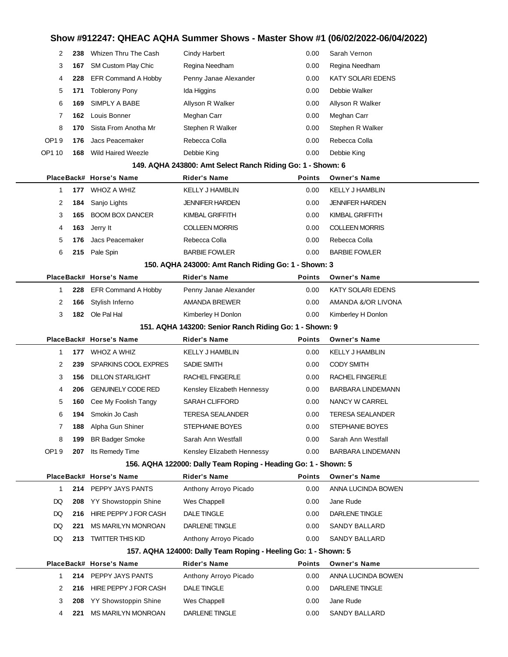# **Show #912247: QHEAC AQHA Summer Shows - Master Show #1 (06/02/2022-06/04/2022)**

| 2                                                      | 238        | Whizen Thru The Cash                       | Cindy Harbert                                                  | 0.00          | Sarah Vernon               |  |  |
|--------------------------------------------------------|------------|--------------------------------------------|----------------------------------------------------------------|---------------|----------------------------|--|--|
| 3                                                      | 167        | SM Custom Play Chic                        | Regina Needham                                                 | 0.00          | Regina Needham             |  |  |
| 4                                                      | 228        | EFR Command A Hobby                        | Penny Janae Alexander                                          | 0.00          | KATY SOLARI EDENS          |  |  |
| 5                                                      |            | 171 Toblerony Pony                         | Ida Higgins                                                    | 0.00          | Debbie Walker              |  |  |
| 6                                                      | 169        | SIMPLY A BABE                              | Allyson R Walker                                               | 0.00          | Allyson R Walker           |  |  |
| 7                                                      |            | 162 Louis Bonner                           | Meghan Carr                                                    | 0.00          | Meghan Carr                |  |  |
| 8                                                      | 170        | Sista From Anotha Mr                       | Stephen R Walker                                               | 0.00          | Stephen R Walker           |  |  |
| OP19                                                   | 176        | Jacs Peacemaker                            | Rebecca Colla                                                  | 0.00          | Rebecca Colla              |  |  |
| OP1 10                                                 | 168        | Wild Haired Weezle                         | Debbie King                                                    | 0.00          | Debbie King                |  |  |
|                                                        |            |                                            | 149. AQHA 243800: Amt Select Ranch Riding Go: 1 - Shown: 6     |               |                            |  |  |
|                                                        |            | PlaceBack# Horse's Name                    | <b>Rider's Name</b>                                            | <b>Points</b> | <b>Owner's Name</b>        |  |  |
| 1                                                      |            | 177 WHOZ A WHIZ                            | <b>KELLY J HAMBLIN</b>                                         | 0.00          | <b>KELLY J HAMBLIN</b>     |  |  |
| 2                                                      | 184        | Sanjo Lights                               | <b>JENNIFER HARDEN</b>                                         | 0.00          | <b>JENNIFER HARDEN</b>     |  |  |
| 3                                                      |            | 165 BOOM BOX DANCER                        | KIMBAL GRIFFITH                                                | 0.00          | KIMBAL GRIFFITH            |  |  |
| 4                                                      | 163        | Jerry It                                   | <b>COLLEEN MORRIS</b>                                          | 0.00          | <b>COLLEEN MORRIS</b>      |  |  |
| 5                                                      | 176        | Jacs Peacemaker                            | Rebecca Colla                                                  | 0.00          | Rebecca Colla              |  |  |
| 6                                                      |            | 215 Pale Spin                              | <b>BARBIE FOWLER</b>                                           | 0.00          | <b>BARBIE FOWLER</b>       |  |  |
|                                                        |            |                                            | 150. AQHA 243000: Amt Ranch Riding Go: 1 - Shown: 3            |               |                            |  |  |
|                                                        |            | PlaceBack# Horse's Name                    | <b>Rider's Name</b>                                            | Points        | <b>Owner's Name</b>        |  |  |
| 1                                                      |            | 228 EFR Command A Hobby                    | Penny Janae Alexander                                          | 0.00          | KATY SOLARI EDENS          |  |  |
| 2                                                      | 166        | Stylish Inferno                            | AMANDA BREWER                                                  | 0.00          | AMANDA &/OR LIVONA         |  |  |
| 3                                                      |            | 182 Ole Pal Hal                            | Kimberley H Donlon                                             | 0.00          | Kimberley H Donlon         |  |  |
| 151. AQHA 143200: Senior Ranch Riding Go: 1 - Shown: 9 |            |                                            |                                                                |               |                            |  |  |
|                                                        |            |                                            |                                                                |               |                            |  |  |
|                                                        |            | PlaceBack# Horse's Name                    | Rider's Name                                                   | Points        | <b>Owner's Name</b>        |  |  |
| 1                                                      |            | 177 WHOZ A WHIZ                            | <b>KELLY J HAMBLIN</b>                                         | 0.00          | <b>KELLY J HAMBLIN</b>     |  |  |
| 2                                                      | 239        | SPARKINS COOL EXPRES                       | SADIE SMITH                                                    | 0.00          | <b>CODY SMITH</b>          |  |  |
| 3                                                      | 156        | <b>DILLON STARLIGHT</b>                    | RACHEL FINGERLE                                                | 0.00          | RACHEL FINGERLE            |  |  |
| 4                                                      | 206        | <b>GENUINELY CODE RED</b>                  | Kensley Elizabeth Hennessy                                     | 0.00          | BARBARA LINDEMANN          |  |  |
| 5                                                      | 160        | Cee My Foolish Tangy                       | <b>SARAH CLIFFORD</b>                                          | 0.00          | NANCY W CARREL             |  |  |
| 6                                                      |            | <b>194</b> Smokin Jo Cash                  | <b>TERESA SEALANDER</b>                                        | 0.00          | <b>TERESA SEALANDER</b>    |  |  |
| 7                                                      |            | 188 Alpha Gun Shiner                       | STEPHANIE BOYES                                                | 0.00          | <b>STEPHANIE BOYES</b>     |  |  |
| 8                                                      | 199        | <b>BR Badger Smoke</b>                     | Sarah Ann Westfall                                             | 0.00          | Sarah Ann Westfall         |  |  |
| OP19                                                   |            | <b>207</b> Its Remedy Time                 | Kensley Elizabeth Hennessy                                     | 0.00          | BARBARA LINDEMANN          |  |  |
|                                                        |            |                                            | 156. AQHA 122000: Dally Team Roping - Heading Go: 1 - Shown: 5 |               |                            |  |  |
|                                                        |            | PlaceBack# Horse's Name                    | Rider's Name                                                   | Points        | <b>Owner's Name</b>        |  |  |
| 1                                                      |            | 214 PEPPY JAYS PANTS                       | Anthony Arroyo Picado                                          | 0.00          | ANNA LUCINDA BOWEN         |  |  |
| DQ                                                     |            | 208 YY Showstoppin Shine                   | Wes Chappell                                                   | 0.00          | Jane Rude                  |  |  |
| DQ                                                     |            | 216 HIRE PEPPY J FOR CASH                  | DALE TINGLE                                                    | 0.00          | DARLENE TINGLE             |  |  |
| DQ                                                     | 221        | MS MARILYN MONROAN                         | DARLENE TINGLE                                                 | 0.00          | SANDY BALLARD              |  |  |
| DQ                                                     |            | 213 TWITTER THIS KID                       | Anthony Arroyo Picado                                          | 0.00          | SANDY BALLARD              |  |  |
|                                                        |            |                                            | 157. AQHA 124000: Dally Team Roping - Heeling Go: 1 - Shown: 5 |               |                            |  |  |
|                                                        |            | PlaceBack# Horse's Name                    | Rider's Name                                                   | Points        | <b>Owner's Name</b>        |  |  |
| 1                                                      |            | 214 PEPPY JAYS PANTS                       | Anthony Arroyo Picado                                          | 0.00          | ANNA LUCINDA BOWEN         |  |  |
| 2                                                      |            | 216 HIRE PEPPY J FOR CASH                  | DALE TINGLE                                                    | 0.00          | DARLENE TINGLE             |  |  |
| 3<br>4                                                 | 208<br>221 | YY Showstoppin Shine<br>MS MARILYN MONROAN | Wes Chappell<br>DARLENE TINGLE                                 | 0.00<br>0.00  | Jane Rude<br>SANDY BALLARD |  |  |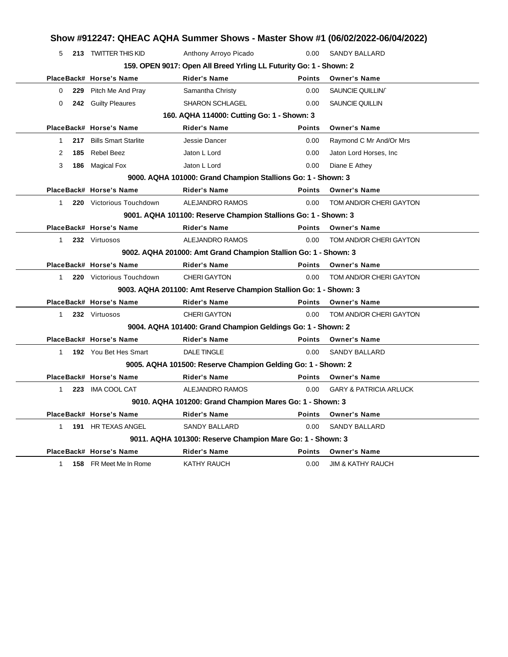| 159. OPEN 9017: Open All Breed Yrling LL Futurity Go: 1 - Shown: 2<br>PlaceBack# Horse's Name<br><b>Rider's Name</b><br><b>Points</b><br><b>Owner's Name</b><br>229<br>Pitch Me And Pray<br>Samantha Christy<br>0.00<br>SAUNCIE QUILLIN<br>0<br>242 Guilty Pleaures<br><b>SHARON SCHLAGEL</b><br>SAUNCIE QUILLIN<br>0.00<br>0<br>160. AQHA 114000: Cutting Go: 1 - Shown: 3<br>PlaceBack# Horse's Name<br><b>Rider's Name</b><br><b>Points</b><br><b>Owner's Name</b><br><b>Bills Smart Starlite</b><br>217<br>Jessie Dancer<br>0.00<br>Raymond C Mr And/Or Mrs<br>1<br><b>Rebel Beez</b><br>Jaton L Lord<br>Jaton Lord Horses, Inc.<br>185<br>0.00<br>2<br>186 Magical Fox<br>Jaton L Lord<br>Diane E Athey<br>3<br>0.00<br>9000. AQHA 101000: Grand Champion Stallions Go: 1 - Shown: 3<br>PlaceBack# Horse's Name<br><b>Rider's Name</b><br><b>Owner's Name</b><br><b>Points</b><br>220 Victorious Touchdown<br>ALEJANDRO RAMOS<br>0.00<br>TOM AND/OR CHERI GAYTON<br>1<br>9001. AQHA 101100: Reserve Champion Stallions Go: 1 - Shown: 3<br>PlaceBack# Horse's Name<br><b>Rider's Name</b><br><b>Points</b><br><b>Owner's Name</b> |
|----------------------------------------------------------------------------------------------------------------------------------------------------------------------------------------------------------------------------------------------------------------------------------------------------------------------------------------------------------------------------------------------------------------------------------------------------------------------------------------------------------------------------------------------------------------------------------------------------------------------------------------------------------------------------------------------------------------------------------------------------------------------------------------------------------------------------------------------------------------------------------------------------------------------------------------------------------------------------------------------------------------------------------------------------------------------------------------------------------------------------------------|
|                                                                                                                                                                                                                                                                                                                                                                                                                                                                                                                                                                                                                                                                                                                                                                                                                                                                                                                                                                                                                                                                                                                                        |
|                                                                                                                                                                                                                                                                                                                                                                                                                                                                                                                                                                                                                                                                                                                                                                                                                                                                                                                                                                                                                                                                                                                                        |
|                                                                                                                                                                                                                                                                                                                                                                                                                                                                                                                                                                                                                                                                                                                                                                                                                                                                                                                                                                                                                                                                                                                                        |
|                                                                                                                                                                                                                                                                                                                                                                                                                                                                                                                                                                                                                                                                                                                                                                                                                                                                                                                                                                                                                                                                                                                                        |
|                                                                                                                                                                                                                                                                                                                                                                                                                                                                                                                                                                                                                                                                                                                                                                                                                                                                                                                                                                                                                                                                                                                                        |
|                                                                                                                                                                                                                                                                                                                                                                                                                                                                                                                                                                                                                                                                                                                                                                                                                                                                                                                                                                                                                                                                                                                                        |
|                                                                                                                                                                                                                                                                                                                                                                                                                                                                                                                                                                                                                                                                                                                                                                                                                                                                                                                                                                                                                                                                                                                                        |
|                                                                                                                                                                                                                                                                                                                                                                                                                                                                                                                                                                                                                                                                                                                                                                                                                                                                                                                                                                                                                                                                                                                                        |
|                                                                                                                                                                                                                                                                                                                                                                                                                                                                                                                                                                                                                                                                                                                                                                                                                                                                                                                                                                                                                                                                                                                                        |
|                                                                                                                                                                                                                                                                                                                                                                                                                                                                                                                                                                                                                                                                                                                                                                                                                                                                                                                                                                                                                                                                                                                                        |
|                                                                                                                                                                                                                                                                                                                                                                                                                                                                                                                                                                                                                                                                                                                                                                                                                                                                                                                                                                                                                                                                                                                                        |
|                                                                                                                                                                                                                                                                                                                                                                                                                                                                                                                                                                                                                                                                                                                                                                                                                                                                                                                                                                                                                                                                                                                                        |
|                                                                                                                                                                                                                                                                                                                                                                                                                                                                                                                                                                                                                                                                                                                                                                                                                                                                                                                                                                                                                                                                                                                                        |
|                                                                                                                                                                                                                                                                                                                                                                                                                                                                                                                                                                                                                                                                                                                                                                                                                                                                                                                                                                                                                                                                                                                                        |
| 232 Virtuosos<br>ALEJANDRO RAMOS<br>0.00<br>TOM AND/OR CHERI GAYTON<br>$\mathbf 1$                                                                                                                                                                                                                                                                                                                                                                                                                                                                                                                                                                                                                                                                                                                                                                                                                                                                                                                                                                                                                                                     |
| 9002. AQHA 201000: Amt Grand Champion Stallion Go: 1 - Shown: 3                                                                                                                                                                                                                                                                                                                                                                                                                                                                                                                                                                                                                                                                                                                                                                                                                                                                                                                                                                                                                                                                        |
| PlaceBack# Horse's Name<br><b>Rider's Name</b><br><b>Points</b><br><b>Owner's Name</b>                                                                                                                                                                                                                                                                                                                                                                                                                                                                                                                                                                                                                                                                                                                                                                                                                                                                                                                                                                                                                                                 |
| <b>CHERI GAYTON</b><br>0.00<br>TOM AND/OR CHERI GAYTON<br>$\mathbf 1$<br>220 Victorious Touchdown                                                                                                                                                                                                                                                                                                                                                                                                                                                                                                                                                                                                                                                                                                                                                                                                                                                                                                                                                                                                                                      |
| 9003. AQHA 201100: Amt Reserve Champion Stallion Go: 1 - Shown: 3                                                                                                                                                                                                                                                                                                                                                                                                                                                                                                                                                                                                                                                                                                                                                                                                                                                                                                                                                                                                                                                                      |
| PlaceBack# Horse's Name<br><b>Rider's Name</b><br><b>Points</b><br><b>Owner's Name</b>                                                                                                                                                                                                                                                                                                                                                                                                                                                                                                                                                                                                                                                                                                                                                                                                                                                                                                                                                                                                                                                 |
| <b>CHERI GAYTON</b><br>0.00<br>TOM AND/OR CHERI GAYTON<br>$\mathbf 1$<br>232 Virtuosos                                                                                                                                                                                                                                                                                                                                                                                                                                                                                                                                                                                                                                                                                                                                                                                                                                                                                                                                                                                                                                                 |
| 9004. AQHA 101400: Grand Champion Geldings Go: 1 - Shown: 2                                                                                                                                                                                                                                                                                                                                                                                                                                                                                                                                                                                                                                                                                                                                                                                                                                                                                                                                                                                                                                                                            |
| PlaceBack# Horse's Name<br><b>Rider's Name</b><br><b>Owner's Name</b><br><b>Points</b>                                                                                                                                                                                                                                                                                                                                                                                                                                                                                                                                                                                                                                                                                                                                                                                                                                                                                                                                                                                                                                                 |
| 192 You Bet Hes Smart<br><b>DALE TINGLE</b><br>SANDY BALLARD<br>$\mathbf 1$<br>0.00                                                                                                                                                                                                                                                                                                                                                                                                                                                                                                                                                                                                                                                                                                                                                                                                                                                                                                                                                                                                                                                    |
| 9005. AQHA 101500: Reserve Champion Gelding Go: 1 - Shown: 2                                                                                                                                                                                                                                                                                                                                                                                                                                                                                                                                                                                                                                                                                                                                                                                                                                                                                                                                                                                                                                                                           |
| <b>Rider's Name</b><br><b>Points</b><br>PlaceBack# Horse's Name<br><b>Owner's Name</b>                                                                                                                                                                                                                                                                                                                                                                                                                                                                                                                                                                                                                                                                                                                                                                                                                                                                                                                                                                                                                                                 |
|                                                                                                                                                                                                                                                                                                                                                                                                                                                                                                                                                                                                                                                                                                                                                                                                                                                                                                                                                                                                                                                                                                                                        |
| <b>IMA COOL CAT</b><br>ALEJANDRO RAMOS<br>0.00<br><b>GARY &amp; PATRICIA ARLUCK</b><br>$\mathbf{1}$<br>223                                                                                                                                                                                                                                                                                                                                                                                                                                                                                                                                                                                                                                                                                                                                                                                                                                                                                                                                                                                                                             |
| 9010. AQHA 101200: Grand Champion Mares Go: 1 - Shown: 3                                                                                                                                                                                                                                                                                                                                                                                                                                                                                                                                                                                                                                                                                                                                                                                                                                                                                                                                                                                                                                                                               |
| PlaceBack# Horse's Name<br><b>Rider's Name</b><br><b>Owner's Name</b><br>Points                                                                                                                                                                                                                                                                                                                                                                                                                                                                                                                                                                                                                                                                                                                                                                                                                                                                                                                                                                                                                                                        |
| 191 HR TEXAS ANGEL<br>SANDY BALLARD<br>SANDY BALLARD<br>1<br>0.00                                                                                                                                                                                                                                                                                                                                                                                                                                                                                                                                                                                                                                                                                                                                                                                                                                                                                                                                                                                                                                                                      |
| 9011. AQHA 101300: Reserve Champion Mare Go: 1 - Shown: 3                                                                                                                                                                                                                                                                                                                                                                                                                                                                                                                                                                                                                                                                                                                                                                                                                                                                                                                                                                                                                                                                              |
| <b>Rider's Name</b><br><b>Points</b><br><b>Owner's Name</b><br>PlaceBack# Horse's Name                                                                                                                                                                                                                                                                                                                                                                                                                                                                                                                                                                                                                                                                                                                                                                                                                                                                                                                                                                                                                                                 |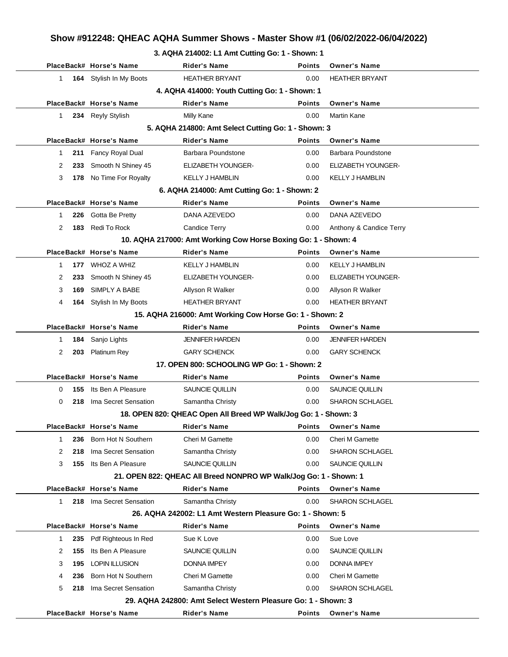## **Show #912248: QHEAC AQHA Summer Shows - Master Show #1 (06/02/2022-06/04/2022)**

#### **3. AQHA 214002: L1 Amt Cutting Go: 1 - Shown: 1**

|              |     | PlaceBack# Horse's Name | Rider's Name                                                      | <b>Points</b> | <b>Owner's Name</b>       |  |
|--------------|-----|-------------------------|-------------------------------------------------------------------|---------------|---------------------------|--|
| 1.           |     | 164 Stylish In My Boots | <b>HEATHER BRYANT</b>                                             | 0.00          | <b>HEATHER BRYANT</b>     |  |
|              |     |                         | 4. AQHA 414000: Youth Cutting Go: 1 - Shown: 1                    |               |                           |  |
|              |     | PlaceBack# Horse's Name | <b>Rider's Name</b>                                               | <b>Points</b> | <b>Owner's Name</b>       |  |
| $\mathbf{1}$ |     | 234 Reyly Stylish       | Milly Kane                                                        | 0.00          | <b>Martin Kane</b>        |  |
|              |     |                         | 5. AQHA 214800: Amt Select Cutting Go: 1 - Shown: 3               |               |                           |  |
|              |     | PlaceBack# Horse's Name | <b>Rider's Name</b>                                               | <b>Points</b> | <b>Owner's Name</b>       |  |
| 1            | 211 | Fancy Royal Dual        | Barbara Poundstone                                                | 0.00          | Barbara Poundstone        |  |
| 2            | 233 | Smooth N Shiney 45      | ELIZABETH YOUNGER-                                                | 0.00          | <b>ELIZABETH YOUNGER-</b> |  |
| 3            | 178 | No Time For Royalty     | <b>KELLY J HAMBLIN</b>                                            | 0.00          | <b>KELLY J HAMBLIN</b>    |  |
|              |     |                         | 6. AQHA 214000: Amt Cutting Go: 1 - Shown: 2                      |               |                           |  |
|              |     | PlaceBack# Horse's Name | <b>Rider's Name</b>                                               | <b>Points</b> | <b>Owner's Name</b>       |  |
| 1            |     | 226 Gotta Be Pretty     | DANA AZEVEDO                                                      | 0.00          | DANA AZEVEDO              |  |
| 2            | 183 | Redi To Rock            | <b>Candice Terry</b>                                              | 0.00          | Anthony & Candice Terry   |  |
|              |     |                         | 10. AQHA 217000: Amt Working Cow Horse Boxing Go: 1 - Shown: 4    |               |                           |  |
|              |     | PlaceBack# Horse's Name | <b>Rider's Name</b>                                               | <b>Points</b> | <b>Owner's Name</b>       |  |
| 1            |     | 177 WHOZ A WHIZ         | <b>KELLY J HAMBLIN</b>                                            | 0.00          | <b>KELLY J HAMBLIN</b>    |  |
| 2            | 233 | Smooth N Shiney 45      | <b>ELIZABETH YOUNGER-</b>                                         | 0.00          | <b>ELIZABETH YOUNGER-</b> |  |
| 3            | 169 | SIMPLY A BABE           | Allyson R Walker                                                  | 0.00          | Allyson R Walker          |  |
| 4            |     | 164 Stylish In My Boots | <b>HEATHER BRYANT</b>                                             | 0.00          | <b>HEATHER BRYANT</b>     |  |
|              |     |                         | 15. AQHA 216000: Amt Working Cow Horse Go: 1 - Shown: 2           |               |                           |  |
|              |     | PlaceBack# Horse's Name | <b>Rider's Name</b>                                               | <b>Points</b> | <b>Owner's Name</b>       |  |
| 1            | 184 | Sanjo Lights            | <b>JENNIFER HARDEN</b>                                            | 0.00          | <b>JENNIFER HARDEN</b>    |  |
| 2            | 203 | <b>Platinum Rey</b>     | <b>GARY SCHENCK</b>                                               | 0.00          | <b>GARY SCHENCK</b>       |  |
|              |     |                         | 17. OPEN 800: SCHOOLING WP Go: 1 - Shown: 2                       |               |                           |  |
|              |     | PlaceBack# Horse's Name | <b>Rider's Name</b>                                               | <b>Points</b> | <b>Owner's Name</b>       |  |
| 0            | 155 | Its Ben A Pleasure      | SAUNCIE QUILLIN                                                   | 0.00          | SAUNCIE QUILLIN           |  |
| 0            | 218 | Ima Secret Sensation    | Samantha Christy                                                  | 0.00          | <b>SHARON SCHLAGEL</b>    |  |
|              |     |                         | 18. OPEN 820: QHEAC Open All Breed WP Walk/Jog Go: 1 - Shown: 3   |               |                           |  |
|              |     | PlaceBack# Horse's Name | Rider's Name                                                      | Points        | <b>Owner's Name</b>       |  |
| 1            | 236 | Born Hot N Southern     | Cheri M Gamette                                                   | 0.00          | Cheri M Gamette           |  |
| 2            | 218 | Ima Secret Sensation    | Samantha Christy                                                  | 0.00          | <b>SHARON SCHLAGEL</b>    |  |
| 3            | 155 | Its Ben A Pleasure      | SAUNCIE QUILLIN                                                   | 0.00          | SAUNCIE QUILLIN           |  |
|              |     |                         | 21. OPEN 822: QHEAC All Breed NONPRO WP Walk/Jog Go: 1 - Shown: 1 |               |                           |  |
|              |     | PlaceBack# Horse's Name | <b>Rider's Name</b>                                               | <b>Points</b> | <b>Owner's Name</b>       |  |
| 1            | 218 | Ima Secret Sensation    | Samantha Christy                                                  | 0.00          | SHARON SCHLAGEL           |  |
|              |     |                         | 26. AQHA 242002: L1 Amt Western Pleasure Go: 1 - Shown: 5         |               |                           |  |
|              |     | PlaceBack# Horse's Name | Rider's Name                                                      | <b>Points</b> | <b>Owner's Name</b>       |  |
| 1            | 235 | Pdf Righteous In Red    | Sue K Love                                                        | 0.00          | Sue Love                  |  |
| 2            | 155 | Its Ben A Pleasure      | SAUNCIE QUILLIN                                                   | 0.00          | SAUNCIE QUILLIN           |  |
| 3            | 195 | <b>LOPIN ILLUSION</b>   | <b>DONNA IMPEY</b>                                                | 0.00          | <b>DONNA IMPEY</b>        |  |
| 4            | 236 | Born Hot N Southern     | Cheri M Gamette                                                   | 0.00          | Cheri M Gamette           |  |
| 5            | 218 | Ima Secret Sensation    | Samantha Christy                                                  | 0.00          | <b>SHARON SCHLAGEL</b>    |  |
|              |     |                         | 29. AQHA 242800: Amt Select Western Pleasure Go: 1 - Shown: 3     |               |                           |  |
|              |     | PlaceBack# Horse's Name | Rider's Name                                                      | <b>Points</b> | <b>Owner's Name</b>       |  |
|              |     |                         |                                                                   |               |                           |  |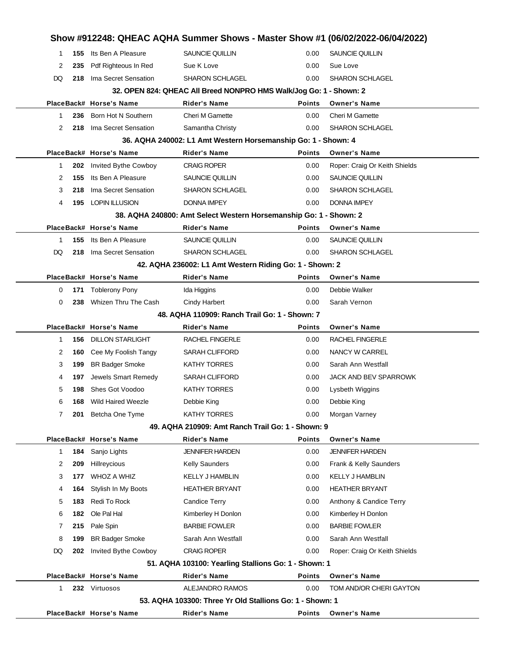|              |     |                               |                                                                    |               | Show #912248: QHEAC AQHA Summer Shows - Master Show #1 (06/02/2022-06/04/2022) |
|--------------|-----|-------------------------------|--------------------------------------------------------------------|---------------|--------------------------------------------------------------------------------|
| 1            | 155 | Its Ben A Pleasure            | SAUNCIE QUILLIN                                                    | 0.00          | <b>SAUNCIE QUILLIN</b>                                                         |
| 2            | 235 | Pdf Righteous In Red          | Sue K Love                                                         | 0.00          | Sue Love                                                                       |
| DQ           | 218 | Ima Secret Sensation          | <b>SHARON SCHLAGEL</b>                                             | 0.00          | <b>SHARON SCHLAGEL</b>                                                         |
|              |     |                               | 32. OPEN 824: QHEAC All Breed NONPRO HMS Walk/Jog Go: 1 - Shown: 2 |               |                                                                                |
|              |     | PlaceBack# Horse's Name       | <b>Rider's Name</b>                                                | <b>Points</b> | <b>Owner's Name</b>                                                            |
| $\mathbf{1}$ | 236 | Born Hot N Southern           | <b>Cheri M Gamette</b>                                             | 0.00          | Cheri M Gamette                                                                |
| 2            | 218 | Ima Secret Sensation          | Samantha Christy                                                   | 0.00          | <b>SHARON SCHLAGEL</b>                                                         |
|              |     |                               | 36. AQHA 240002: L1 Amt Western Horsemanship Go: 1 - Shown: 4      |               |                                                                                |
|              |     | PlaceBack# Horse's Name       | <b>Rider's Name</b>                                                | <b>Points</b> | <b>Owner's Name</b>                                                            |
| 1            | 202 | Invited Bythe Cowboy          | <b>CRAIG ROPER</b>                                                 | 0.00          | Roper: Craig Or Keith Shields                                                  |
| 2            | 155 | Its Ben A Pleasure            | SAUNCIE QUILLIN                                                    | 0.00          | SAUNCIE QUILLIN                                                                |
| 3            | 218 | Ima Secret Sensation          | <b>SHARON SCHLAGEL</b>                                             | 0.00          | <b>SHARON SCHLAGEL</b>                                                         |
| 4            | 195 | LOPIN ILLUSION                | <b>DONNA IMPEY</b>                                                 | 0.00          | <b>DONNA IMPEY</b>                                                             |
|              |     |                               | 38. AQHA 240800: Amt Select Western Horsemanship Go: 1 - Shown: 2  |               |                                                                                |
|              |     | PlaceBack# Horse's Name       | <b>Rider's Name</b>                                                | <b>Points</b> | <b>Owner's Name</b>                                                            |
| $\mathbf 1$  | 155 | Its Ben A Pleasure            | SAUNCIE QUILLIN                                                    | 0.00          | SAUNCIE QUILLIN                                                                |
| DQ           | 218 | Ima Secret Sensation          | <b>SHARON SCHLAGEL</b>                                             | 0.00          | <b>SHARON SCHLAGEL</b>                                                         |
|              |     |                               | 42. AQHA 236002: L1 Amt Western Riding Go: 1 - Shown: 2            |               |                                                                                |
|              |     | PlaceBack# Horse's Name       | <b>Rider's Name</b>                                                | <b>Points</b> | <b>Owner's Name</b>                                                            |
| 0            | 171 | <b>Toblerony Pony</b>         | Ida Higgins                                                        | 0.00          | Debbie Walker                                                                  |
| 0            | 238 | Whizen Thru The Cash          | Cindy Harbert                                                      | 0.00          | Sarah Vernon                                                                   |
|              |     |                               | 48. AQHA 110909: Ranch Trail Go: 1 - Shown: 7                      |               |                                                                                |
|              |     | PlaceBack# Horse's Name       | <b>Rider's Name</b>                                                | <b>Points</b> | <b>Owner's Name</b>                                                            |
| $\mathbf{1}$ | 156 | <b>DILLON STARLIGHT</b>       | RACHEL FINGERLE                                                    | 0.00          | <b>RACHEL FINGERLE</b>                                                         |
| 2            | 160 | Cee My Foolish Tangy          | <b>SARAH CLIFFORD</b>                                              | 0.00          | NANCY W CARREL                                                                 |
| 3            | 199 | <b>BR Badger Smoke</b>        | <b>KATHY TORRES</b>                                                | 0.00          | Sarah Ann Westfall                                                             |
| 4            | 197 | Jewels Smart Remedy           | <b>SARAH CLIFFORD</b>                                              | 0.00          | JACK AND BEV SPARROWK                                                          |
| 5            | 198 | Shes Got Voodoo               | <b>KATHY TORRES</b>                                                | 0.00          | Lysbeth Wiggins                                                                |
| 6            |     | <b>168</b> Wild Haired Weezle | Debbie King                                                        | 0.00          | Debbie King                                                                    |
| 7            | 201 | Betcha One Tyme               | <b>KATHY TORRES</b>                                                | 0.00          | Morgan Varney                                                                  |
|              |     |                               | 49. AQHA 210909: Amt Ranch Trail Go: 1 - Shown: 9                  |               |                                                                                |
|              |     | PlaceBack# Horse's Name       | <b>Rider's Name</b>                                                | <b>Points</b> | <b>Owner's Name</b>                                                            |
| 1            | 184 | Sanjo Lights                  | <b>JENNIFER HARDEN</b>                                             | 0.00          | <b>JENNIFER HARDEN</b>                                                         |
| 2            | 209 | Hillreycious                  | <b>Kelly Saunders</b>                                              | 0.00          | Frank & Kelly Saunders                                                         |
| 3            | 177 | <b>WHOZ A WHIZ</b>            | <b>KELLY J HAMBLIN</b>                                             | 0.00          | <b>KELLY J HAMBLIN</b>                                                         |
| 4            | 164 | Stylish In My Boots           | <b>HEATHER BRYANT</b>                                              | 0.00          | <b>HEATHER BRYANT</b>                                                          |
| 5            | 183 | Redi To Rock                  | Candice Terry                                                      | 0.00          | Anthony & Candice Terry                                                        |
| 6            | 182 | Ole Pal Hal                   | Kimberley H Donlon                                                 | 0.00          | Kimberley H Donlon                                                             |
| 7            | 215 | Pale Spin                     | <b>BARBIE FOWLER</b>                                               | 0.00          | <b>BARBIE FOWLER</b>                                                           |
| 8            | 199 | <b>BR Badger Smoke</b>        | Sarah Ann Westfall                                                 | 0.00          | Sarah Ann Westfall                                                             |
| DQ           | 202 | Invited Bythe Cowboy          | <b>CRAIG ROPER</b>                                                 | 0.00          | Roper: Craig Or Keith Shields                                                  |
|              |     |                               | 51. AQHA 103100: Yearling Stallions Go: 1 - Shown: 1               |               |                                                                                |
|              |     | PlaceBack# Horse's Name       | <b>Rider's Name</b>                                                | <b>Points</b> | <b>Owner's Name</b>                                                            |
|              |     | 232 Virtuosos                 | ALEJANDRO RAMOS                                                    | 0.00          | TOM AND/OR CHERI GAYTON                                                        |
| 1.           |     |                               |                                                                    |               |                                                                                |
|              |     |                               | 53. AQHA 103300: Three Yr Old Stallions Go: 1 - Shown: 1           |               |                                                                                |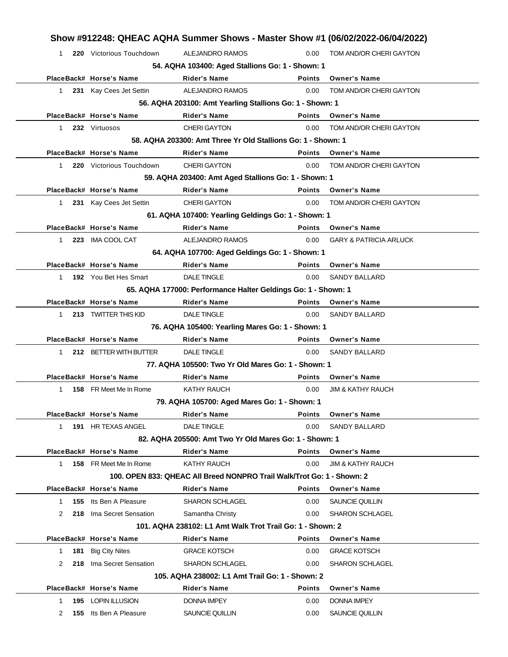|                         |                               |                                                                        |                   | Show #912248: QHEAC AQHA Summer Shows - Master Show #1 (06/02/2022-06/04/2022) |
|-------------------------|-------------------------------|------------------------------------------------------------------------|-------------------|--------------------------------------------------------------------------------|
| 1                       | 220 Victorious Touchdown      | <b>ALEJANDRO RAMOS</b>                                                 | 0.00              | TOM AND/OR CHERI GAYTON                                                        |
|                         |                               | 54. AQHA 103400: Aged Stallions Go: 1 - Shown: 1                       |                   |                                                                                |
|                         | PlaceBack# Horse's Name       | <b>Rider's Name</b>                                                    | <b>Points</b>     | <b>Owner's Name</b>                                                            |
| $\mathbf 1$             | 231 Kay Cees Jet Settin       | <b>ALEJANDRO RAMOS</b>                                                 | 0.00              | TOM AND/OR CHERI GAYTON                                                        |
|                         |                               | 56. AQHA 203100: Amt Yearling Stallions Go: 1 - Shown: 1               |                   |                                                                                |
|                         | PlaceBack# Horse's Name       | <b>Rider's Name</b>                                                    | <b>Points</b>     | <b>Owner's Name</b>                                                            |
| $\mathbf{1}$            | 232 Virtuosos                 | <b>CHERI GAYTON</b>                                                    | 0.00              | TOM AND/OR CHERI GAYTON                                                        |
|                         |                               | 58. AQHA 203300: Amt Three Yr Old Stallions Go: 1 - Shown: 1           |                   |                                                                                |
|                         | PlaceBack# Horse's Name       | <b>Rider's Name</b>                                                    | <b>Points</b>     | <b>Owner's Name</b>                                                            |
| 1                       | 220 Victorious Touchdown      | <b>CHERI GAYTON</b>                                                    | 0.00              | TOM AND/OR CHERI GAYTON                                                        |
|                         |                               | 59. AQHA 203400: Amt Aged Stallions Go: 1 - Shown: 1                   |                   |                                                                                |
|                         | PlaceBack# Horse's Name       | <b>Rider's Name</b>                                                    | <b>Points</b>     | <b>Owner's Name</b>                                                            |
| $\mathbf{1}$            | 231 Kay Cees Jet Settin       | <b>CHERI GAYTON</b>                                                    | 0.00              | TOM AND/OR CHERI GAYTON                                                        |
|                         |                               | 61. AQHA 107400: Yearling Geldings Go: 1 - Shown: 1                    |                   |                                                                                |
|                         | PlaceBack# Horse's Name       | <b>Rider's Name</b>                                                    | <b>Points</b>     | <b>Owner's Name</b>                                                            |
| $\mathbf 1$             | 223 IMA COOL CAT              | ALEJANDRO RAMOS                                                        | 0.00              | <b>GARY &amp; PATRICIA ARLUCK</b>                                              |
|                         |                               | 64. AQHA 107700: Aged Geldings Go: 1 - Shown: 1                        |                   |                                                                                |
|                         | PlaceBack# Horse's Name       | <b>Rider's Name</b>                                                    | <b>Points</b>     | <b>Owner's Name</b>                                                            |
| $\mathbf{1}$            | 192 You Bet Hes Smart         | <b>DALE TINGLE</b>                                                     | 0.00              | <b>SANDY BALLARD</b>                                                           |
|                         |                               | 65. AQHA 177000: Performance Halter Geldings Go: 1 - Shown: 1          |                   |                                                                                |
|                         | PlaceBack# Horse's Name       | <b>Rider's Name</b>                                                    | <b>Points</b>     | <b>Owner's Name</b>                                                            |
| 1                       | 213 TWITTER THIS KID          | <b>DALE TINGLE</b>                                                     | 0.00              | <b>SANDY BALLARD</b>                                                           |
|                         |                               | 76. AQHA 105400: Yearling Mares Go: 1 - Shown: 1                       |                   |                                                                                |
|                         | PlaceBack# Horse's Name       | <b>Rider's Name</b>                                                    | <b>Points</b>     | <b>Owner's Name</b>                                                            |
| 1                       | 212 BETTER WITH BUTTER        | <b>DALE TINGLE</b>                                                     | 0.00              | <b>SANDY BALLARD</b>                                                           |
|                         |                               | 77. AQHA 105500: Two Yr Old Mares Go: 1 - Shown: 1                     |                   |                                                                                |
|                         | PlaceBack# Horse's Name       | Rider's Name                                                           | <b>Points</b>     | <b>Owner's Name</b>                                                            |
| 1                       | 158 FR Meet Me In Rome        | <b>KATHY RAUCH</b>                                                     | 0.00              | <b>JIM &amp; KATHY RAUCH</b>                                                   |
|                         |                               | 79. AQHA 105700: Aged Mares Go: 1 - Shown: 1                           |                   |                                                                                |
|                         | PlaceBack# Horse's Name       | <b>Rider's Name</b>                                                    | Points            | <b>Owner's Name</b>                                                            |
| $\mathbf 1$             | 191 HR TEXAS ANGEL            | <b>DALE TINGLE</b>                                                     | 0.00              | <b>SANDY BALLARD</b>                                                           |
|                         |                               | 82. AQHA 205500: Amt Two Yr Old Mares Go: 1 - Shown: 1                 |                   |                                                                                |
|                         | PlaceBack# Horse's Name       | <b>Rider's Name</b>                                                    | Points            | <b>Owner's Name</b>                                                            |
| $\mathbf 1$             | 158 FR Meet Me In Rome        | <b>KATHY RAUCH</b>                                                     | 0.00              | <b>JIM &amp; KATHY RAUCH</b>                                                   |
|                         |                               | 100. OPEN 833: QHEAC All Breed NONPRO Trail Walk/Trot Go: 1 - Shown: 2 |                   |                                                                                |
|                         | PlaceBack# Horse's Name       | Rider's Name                                                           | Points            | <b>Owner's Name</b>                                                            |
| 155<br>1                | Its Ben A Pleasure            | <b>SHARON SCHLAGEL</b>                                                 | 0.00              | SAUNCIE QUILLIN                                                                |
| 2                       | 218 Ima Secret Sensation      | Samantha Christy                                                       | 0.00 <sub>1</sub> | <b>SHARON SCHLAGEL</b>                                                         |
|                         |                               | 101. AQHA 238102: L1 Amt Walk Trot Trail Go: 1 - Shown: 2              |                   |                                                                                |
|                         | PlaceBack# Horse's Name       | Rider's Name                                                           | Points            | <b>Owner's Name</b>                                                            |
| 181<br>$\mathbf{1}$     | <b>Big City Nites</b>         | <b>GRACE KOTSCH</b>                                                    | 0.00              | <b>GRACE KOTSCH</b>                                                            |
| 218<br>2                | Ima Secret Sensation          | <b>SHARON SCHLAGEL</b>                                                 | 0.00              | <b>SHARON SCHLAGEL</b>                                                         |
|                         |                               | 105. AQHA 238002: L1 Amt Trail Go: 1 - Shown: 2                        |                   |                                                                                |
|                         |                               | Rider's Name                                                           | <b>Points</b>     | <b>Owner's Name</b>                                                            |
| PlaceBack# Horse's Name |                               |                                                                        |                   |                                                                                |
| 1                       | 195 LOPIN ILLUSION            | <b>DONNA IMPEY</b>                                                     | 0.00              | <b>DONNA IMPEY</b>                                                             |
| 2                       | <b>155</b> Its Ben A Pleasure | SAUNCIE QUILLIN                                                        | 0.00              | SAUNCIE QUILLIN                                                                |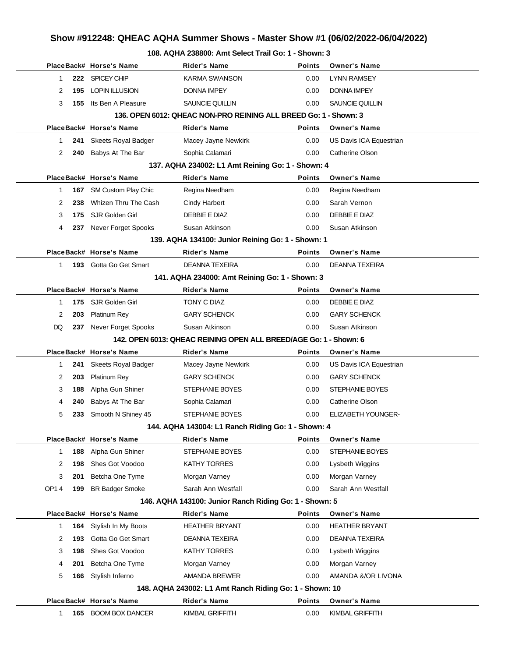# **Show #912248: QHEAC AQHA Summer Shows - Master Show #1 (06/02/2022-06/04/2022)**

#### **108. AQHA 238800: Amt Select Trail Go: 1 - Shown: 3**

|              |     |                            | 0. AWI IA 200000. AIIIL OCICCL ITAII OU. T-                       |               |                           |
|--------------|-----|----------------------------|-------------------------------------------------------------------|---------------|---------------------------|
|              |     | PlaceBack# Horse's Name    | Rider's Name                                                      | <b>Points</b> | <b>Owner's Name</b>       |
| $\mathbf{1}$ |     | 222 SPICEY CHIP            | <b>KARMA SWANSON</b>                                              | 0.00          | <b>LYNN RAMSEY</b>        |
| 2            | 195 | <b>LOPIN ILLUSION</b>      | <b>DONNA IMPEY</b>                                                | 0.00          | <b>DONNA IMPEY</b>        |
| 3            | 155 | Its Ben A Pleasure         | <b>SAUNCIE QUILLIN</b>                                            | 0.00          | SAUNCIE QUILLIN           |
|              |     |                            | 136. OPEN 6012: QHEAC NON-PRO REINING ALL BREED Go: 1 - Shown: 3  |               |                           |
|              |     | PlaceBack# Horse's Name    | <b>Rider's Name</b>                                               | <b>Points</b> | <b>Owner's Name</b>       |
| 1            | 241 | <b>Skeets Royal Badger</b> | Macey Jayne Newkirk                                               | 0.00          | US Davis ICA Equestrian   |
| 2            | 240 | Babys At The Bar           | Sophia Calamari                                                   | 0.00          | Catherine Olson           |
|              |     |                            | 137. AQHA 234002: L1 Amt Reining Go: 1 - Shown: 4                 |               |                           |
|              |     | PlaceBack# Horse's Name    | <b>Rider's Name</b>                                               | <b>Points</b> | <b>Owner's Name</b>       |
| 1            |     | 167 SM Custom Play Chic    | Regina Needham                                                    | 0.00          | Regina Needham            |
| 2            | 238 | Whizen Thru The Cash       | <b>Cindy Harbert</b>                                              | 0.00          | Sarah Vernon              |
| 3            | 175 | SJR Golden Girl            | DEBBIE E DIAZ                                                     | 0.00          | DEBBIE E DIAZ             |
| 4            |     | 237 Never Forget Spooks    | Susan Atkinson                                                    | 0.00          | Susan Atkinson            |
|              |     |                            | 139. AQHA 134100: Junior Reining Go: 1 - Shown: 1                 |               |                           |
|              |     | PlaceBack# Horse's Name    | <b>Rider's Name</b>                                               | <b>Points</b> | <b>Owner's Name</b>       |
| $\mathbf{1}$ |     | 193 Gotta Go Get Smart     | <b>DEANNA TEXEIRA</b>                                             | 0.00          | <b>DEANNA TEXEIRA</b>     |
|              |     |                            | 141. AQHA 234000: Amt Reining Go: 1 - Shown: 3                    |               |                           |
|              |     | PlaceBack# Horse's Name    | <b>Rider's Name</b>                                               | <b>Points</b> | <b>Owner's Name</b>       |
| $\mathbf{1}$ | 175 | SJR Golden Girl            | TONY C DIAZ                                                       | 0.00          | DEBBIE E DIAZ             |
| 2            | 203 | <b>Platinum Rey</b>        | <b>GARY SCHENCK</b>                                               | 0.00          | <b>GARY SCHENCK</b>       |
| DQ           | 237 | <b>Never Forget Spooks</b> | Susan Atkinson                                                    | 0.00          | Susan Atkinson            |
|              |     |                            | 142. OPEN 6013: QHEAC REINING OPEN ALL BREED/AGE Go: 1 - Shown: 6 |               |                           |
|              |     | PlaceBack# Horse's Name    | <b>Rider's Name</b>                                               | <b>Points</b> | <b>Owner's Name</b>       |
| 1            | 241 | Skeets Royal Badger        | Macey Jayne Newkirk                                               | 0.00          | US Davis ICA Equestrian   |
| 2            | 203 | <b>Platinum Rey</b>        | <b>GARY SCHENCK</b>                                               | 0.00          | <b>GARY SCHENCK</b>       |
| 3            | 188 | Alpha Gun Shiner           | STEPHANIE BOYES                                                   | 0.00          | STEPHANIE BOYES           |
| 4            | 240 | Babys At The Bar           | Sophia Calamari                                                   | 0.00          | <b>Catherine Olson</b>    |
| 5            | 233 | Smooth N Shiney 45         | <b>STEPHANIE BOYES</b>                                            | 0.00          | <b>ELIZABETH YOUNGER-</b> |
|              |     |                            | 144. AQHA 143004: L1 Ranch Riding Go: 1 - Shown: 4                |               |                           |
|              |     | PlaceBack# Horse's Name    | Rider's Name                                                      | Points        | <b>Owner's Name</b>       |
| $\mathbf{1}$ | 188 | Alpha Gun Shiner           | STEPHANIE BOYES                                                   | 0.00          | <b>STEPHANIE BOYES</b>    |
| 2            | 198 | Shes Got Voodoo            | <b>KATHY TORRES</b>                                               | 0.00          | Lysbeth Wiggins           |
| 3            | 201 | Betcha One Tyme            | Morgan Varney                                                     | 0.00          | Morgan Varney             |
| OP14         | 199 | <b>BR Badger Smoke</b>     | Sarah Ann Westfall                                                | 0.00          | Sarah Ann Westfall        |
|              |     |                            | 146. AQHA 143100: Junior Ranch Riding Go: 1 - Shown: 5            |               |                           |
|              |     | PlaceBack# Horse's Name    | <b>Rider's Name</b>                                               | <b>Points</b> | <b>Owner's Name</b>       |
| $\mathbf{1}$ | 164 | Stylish In My Boots        | <b>HEATHER BRYANT</b>                                             | 0.00          | <b>HEATHER BRYANT</b>     |
| 2            | 193 | Gotta Go Get Smart         | <b>DEANNA TEXEIRA</b>                                             | 0.00          | <b>DEANNA TEXEIRA</b>     |
| 3            | 198 | Shes Got Voodoo            | <b>KATHY TORRES</b>                                               | 0.00          | Lysbeth Wiggins           |
| 4            | 201 | Betcha One Tyme            | Morgan Varney                                                     | 0.00          | Morgan Varney             |
| 5            | 166 | Stylish Inferno            | AMANDA BREWER                                                     | 0.00          | AMANDA &/OR LIVONA        |
|              |     |                            | 148. AQHA 243002: L1 Amt Ranch Riding Go: 1 - Shown: 10           |               |                           |
|              |     | PlaceBack# Horse's Name    | <b>Rider's Name</b>                                               | <b>Points</b> | <b>Owner's Name</b>       |
| 1            | 165 | <b>BOOM BOX DANCER</b>     | KIMBAL GRIFFITH                                                   | 0.00          | KIMBAL GRIFFITH           |
|              |     |                            |                                                                   |               |                           |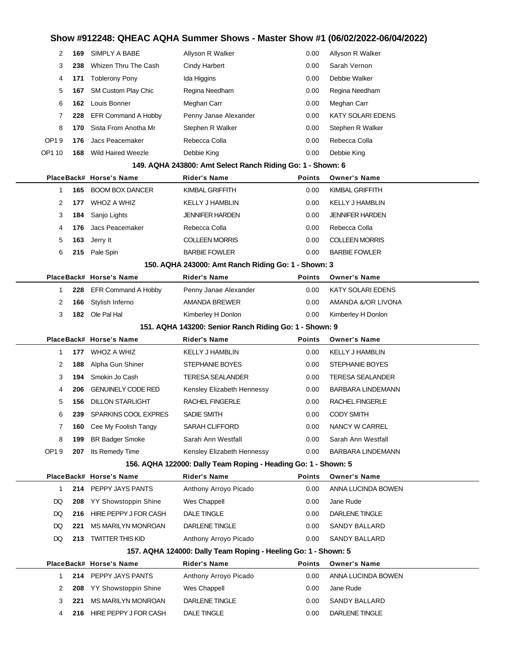# **Show #912248: QHEAC AQHA Summer Shows - Master Show #1 (06/02/2022-06/04/2022)**

| 2                                                      | 169 | SIMPLY A BABE                                   | Allyson R Walker                                               | 0.00          | Allyson R Walker                |  |  |
|--------------------------------------------------------|-----|-------------------------------------------------|----------------------------------------------------------------|---------------|---------------------------------|--|--|
| 3                                                      | 238 | Whizen Thru The Cash                            | <b>Cindy Harbert</b>                                           | 0.00          | Sarah Vernon                    |  |  |
| 4                                                      | 171 | <b>Toblerony Pony</b>                           | Ida Higgins                                                    | 0.00          | Debbie Walker                   |  |  |
| 5                                                      | 167 | SM Custom Play Chic                             | Regina Needham                                                 | 0.00          | Regina Needham                  |  |  |
| 6                                                      | 162 | Louis Bonner                                    | Meghan Carr                                                    | 0.00          | Meghan Carr                     |  |  |
| 7                                                      | 228 | <b>EFR Command A Hobby</b>                      | Penny Janae Alexander                                          | 0.00          | <b>KATY SOLARI EDENS</b>        |  |  |
| 8                                                      | 170 | Sista From Anotha Mr                            | Stephen R Walker                                               | 0.00          | Stephen R Walker                |  |  |
| OP19                                                   | 176 | Jacs Peacemaker                                 | Rebecca Colla                                                  | 0.00          | Rebecca Colla                   |  |  |
| OP1 10                                                 | 168 | Wild Haired Weezle                              | Debbie King                                                    | 0.00          | Debbie King                     |  |  |
|                                                        |     |                                                 | 149. AQHA 243800: Amt Select Ranch Riding Go: 1 - Shown: 6     |               |                                 |  |  |
|                                                        |     | PlaceBack# Horse's Name                         | Rider's Name                                                   | <b>Points</b> | <b>Owner's Name</b>             |  |  |
| 1                                                      |     | 165 BOOM BOX DANCER                             | KIMBAL GRIFFITH                                                | 0.00          | KIMBAL GRIFFITH                 |  |  |
| 2                                                      | 177 | WHOZ A WHIZ                                     | <b>KELLY J HAMBLIN</b>                                         | 0.00          | <b>KELLY J HAMBLIN</b>          |  |  |
| 3                                                      | 184 | Sanjo Lights                                    | <b>JENNIFER HARDEN</b>                                         | 0.00          | <b>JENNIFER HARDEN</b>          |  |  |
| 4                                                      | 176 | Jacs Peacemaker                                 | Rebecca Colla                                                  | 0.00          | Rebecca Colla                   |  |  |
| 5                                                      | 163 | Jerry It                                        | <b>COLLEEN MORRIS</b>                                          | 0.00          | <b>COLLEEN MORRIS</b>           |  |  |
| 6                                                      | 215 | Pale Spin                                       | <b>BARBIE FOWLER</b>                                           | 0.00          | <b>BARBIE FOWLER</b>            |  |  |
|                                                        |     |                                                 | 150. AQHA 243000: Amt Ranch Riding Go: 1 - Shown: 3            |               |                                 |  |  |
|                                                        |     | PlaceBack# Horse's Name                         | Rider's Name                                                   | <b>Points</b> | <b>Owner's Name</b>             |  |  |
| 1                                                      |     | 228 EFR Command A Hobby                         | Penny Janae Alexander                                          | 0.00          | KATY SOLARI EDENS               |  |  |
| 2                                                      | 166 | Stylish Inferno                                 | AMANDA BREWER                                                  | 0.00          | AMANDA &/OR LIVONA              |  |  |
| 3                                                      |     | 182 Ole Pal Hal                                 | Kimberley H Donlon                                             | 0.00          | Kimberley H Donlon              |  |  |
| 151. AQHA 143200: Senior Ranch Riding Go: 1 - Shown: 9 |     |                                                 |                                                                |               |                                 |  |  |
|                                                        |     |                                                 |                                                                |               |                                 |  |  |
|                                                        |     | PlaceBack# Horse's Name                         | Rider's Name                                                   | <b>Points</b> | <b>Owner's Name</b>             |  |  |
| 1                                                      | 177 | WHOZ A WHIZ                                     | <b>KELLY J HAMBLIN</b>                                         | 0.00          | <b>KELLY J HAMBLIN</b>          |  |  |
| 2                                                      | 188 | Alpha Gun Shiner                                | STEPHANIE BOYES                                                | 0.00          | STEPHANIE BOYES                 |  |  |
| 3                                                      | 194 | Smokin Jo Cash                                  | <b>TERESA SEALANDER</b>                                        | 0.00          | <b>TERESA SEALANDER</b>         |  |  |
| 4                                                      | 206 | <b>GENUINELY CODE RED</b>                       | Kensley Elizabeth Hennessy                                     | 0.00          | <b>BARBARA LINDEMANN</b>        |  |  |
| 5                                                      | 156 | <b>DILLON STARLIGHT</b>                         | RACHEL FINGERLE                                                | 0.00          | <b>RACHEL FINGERLE</b>          |  |  |
| 6                                                      |     | 239 SPARKINS COOL EXPRES                        | SADIE SMITH                                                    | 0.00          | <b>CODY SMITH</b>               |  |  |
| 7                                                      | 160 | Cee My Foolish Tangy                            | <b>SARAH CLIFFORD</b>                                          | 0.00          | NANCY W CARREL                  |  |  |
| 8                                                      | 199 | <b>BR Badger Smoke</b>                          | Sarah Ann Westfall                                             | 0.00          | Sarah Ann Westfall              |  |  |
| OP19                                                   |     | <b>207</b> Its Remedy Time                      | Kensley Elizabeth Hennessy                                     | 0.00          | <b>BARBARA LINDEMANN</b>        |  |  |
|                                                        |     |                                                 | 156. AQHA 122000: Dally Team Roping - Heading Go: 1 - Shown: 5 |               |                                 |  |  |
|                                                        |     | PlaceBack# Horse's Name                         | Rider's Name                                                   | <b>Points</b> | <b>Owner's Name</b>             |  |  |
| 1                                                      |     | 214 PEPPY JAYS PANTS                            | Anthony Arroyo Picado                                          | 0.00          | ANNA LUCINDA BOWEN              |  |  |
| DQ                                                     |     | 208 YY Showstoppin Shine                        | Wes Chappell                                                   | 0.00          | Jane Rude                       |  |  |
| DQ                                                     | 216 | HIRE PEPPY J FOR CASH                           | <b>DALE TINGLE</b>                                             | 0.00          | DARLENE TINGLE                  |  |  |
| DQ                                                     | 221 | MS MARILYN MONROAN                              | DARLENE TINGLE                                                 | 0.00          | SANDY BALLARD                   |  |  |
| DQ                                                     |     | 213 TWITTER THIS KID                            | Anthony Arroyo Picado                                          | 0.00          | SANDY BALLARD                   |  |  |
|                                                        |     |                                                 | 157. AQHA 124000: Dally Team Roping - Heeling Go: 1 - Shown: 5 |               |                                 |  |  |
|                                                        |     | PlaceBack# Horse's Name                         | Rider's Name                                                   | <b>Points</b> | <b>Owner's Name</b>             |  |  |
| 1                                                      |     | 214 PEPPY JAYS PANTS                            | Anthony Arroyo Picado                                          | 0.00          | ANNA LUCINDA BOWEN              |  |  |
| 2                                                      | 208 | YY Showstoppin Shine                            | Wes Chappell                                                   | 0.00          | Jane Rude                       |  |  |
| 3<br>4                                                 | 221 | MS MARILYN MONROAN<br>216 HIRE PEPPY J FOR CASH | DARLENE TINGLE<br>DALE TINGLE                                  | 0.00<br>0.00  | SANDY BALLARD<br>DARLENE TINGLE |  |  |